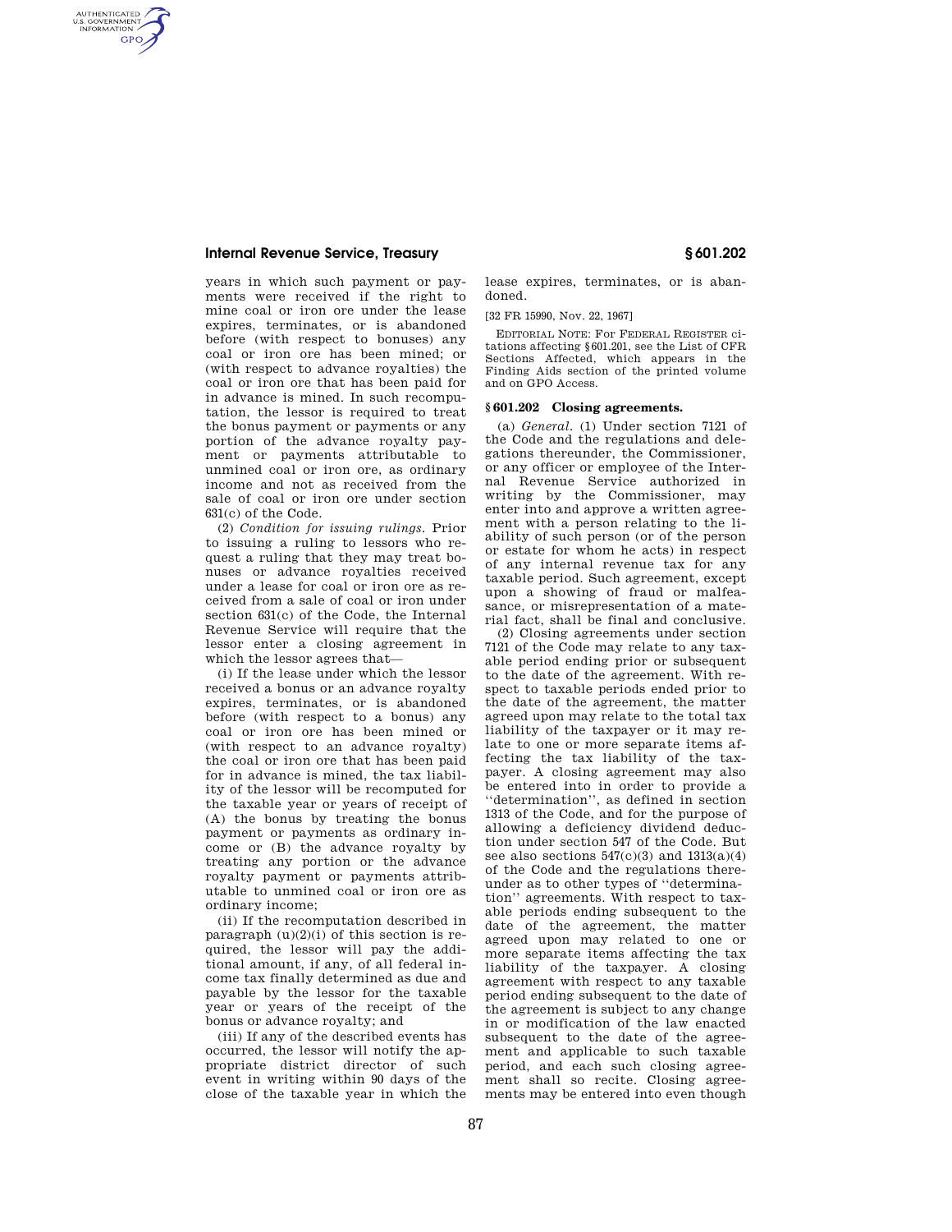## **Internal Revenue Service, Treasury § 601.202**

AUTHENTICATED<br>U.S. GOVERNMENT<br>INFORMATION **GPO** 

> years in which such payment or payments were received if the right to mine coal or iron ore under the lease expires, terminates, or is abandoned before (with respect to bonuses) any coal or iron ore has been mined; or (with respect to advance royalties) the coal or iron ore that has been paid for in advance is mined. In such recomputation, the lessor is required to treat the bonus payment or payments or any portion of the advance royalty payment or payments attributable to unmined coal or iron ore, as ordinary income and not as received from the sale of coal or iron ore under section 631(c) of the Code.

> (2) *Condition for issuing rulings.* Prior to issuing a ruling to lessors who request a ruling that they may treat bonuses or advance royalties received under a lease for coal or iron ore as received from a sale of coal or iron under section 631(c) of the Code, the Internal Revenue Service will require that the lessor enter a closing agreement in which the lessor agrees that—

> (i) If the lease under which the lessor received a bonus or an advance royalty expires, terminates, or is abandoned before (with respect to a bonus) any coal or iron ore has been mined or (with respect to an advance royalty) the coal or iron ore that has been paid for in advance is mined, the tax liability of the lessor will be recomputed for the taxable year or years of receipt of (A) the bonus by treating the bonus payment or payments as ordinary income or (B) the advance royalty by treating any portion or the advance royalty payment or payments attributable to unmined coal or iron ore as ordinary income;

> (ii) If the recomputation described in paragraph  $(u)(2)(i)$  of this section is required, the lessor will pay the additional amount, if any, of all federal income tax finally determined as due and payable by the lessor for the taxable year or years of the receipt of the bonus or advance royalty; and

> (iii) If any of the described events has occurred, the lessor will notify the appropriate district director of such event in writing within 90 days of the close of the taxable year in which the

lease expires, terminates, or is abandoned.

[32 FR 15990, Nov. 22, 1967]

EDITORIAL NOTE: For FEDERAL REGISTER citations affecting §601.201, see the List of CFR Sections Affected, which appears in the Finding Aids section of the printed volume and on GPO Access.

## **§ 601.202 Closing agreements.**

(a) *General.* (1) Under section 7121 of the Code and the regulations and delegations thereunder, the Commissioner, or any officer or employee of the Internal Revenue Service authorized in writing by the Commissioner, may enter into and approve a written agreement with a person relating to the liability of such person (or of the person or estate for whom he acts) in respect of any internal revenue tax for any taxable period. Such agreement, except upon a showing of fraud or malfeasance, or misrepresentation of a material fact, shall be final and conclusive.

(2) Closing agreements under section 7121 of the Code may relate to any taxable period ending prior or subsequent to the date of the agreement. With respect to taxable periods ended prior to the date of the agreement, the matter agreed upon may relate to the total tax liability of the taxpayer or it may relate to one or more separate items affecting the tax liability of the taxpayer. A closing agreement may also be entered into in order to provide a ''determination'', as defined in section 1313 of the Code, and for the purpose of allowing a deficiency dividend deduction under section 547 of the Code. But see also sections  $547(c)(3)$  and  $1313(a)(4)$ of the Code and the regulations thereunder as to other types of ''determination'' agreements. With respect to taxable periods ending subsequent to the date of the agreement, the matter agreed upon may related to one or more separate items affecting the tax liability of the taxpayer. A closing agreement with respect to any taxable period ending subsequent to the date of the agreement is subject to any change in or modification of the law enacted subsequent to the date of the agreement and applicable to such taxable period, and each such closing agreement shall so recite. Closing agreements may be entered into even though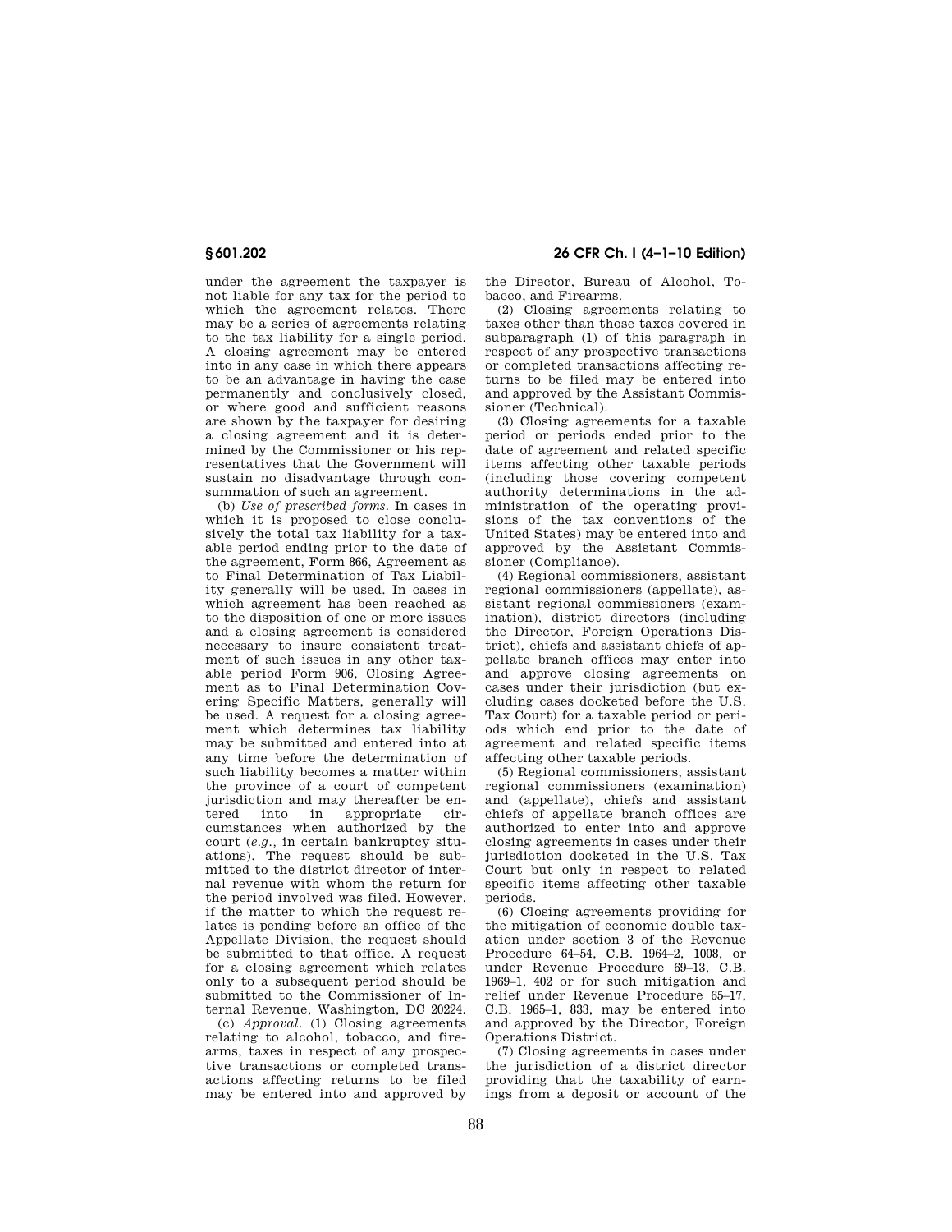under the agreement the taxpayer is not liable for any tax for the period to which the agreement relates. There may be a series of agreements relating to the tax liability for a single period. A closing agreement may be entered into in any case in which there appears to be an advantage in having the case permanently and conclusively closed, or where good and sufficient reasons are shown by the taxpayer for desiring a closing agreement and it is determined by the Commissioner or his representatives that the Government will sustain no disadvantage through consummation of such an agreement.

(b) *Use of prescribed forms.* In cases in which it is proposed to close conclusively the total tax liability for a taxable period ending prior to the date of the agreement, Form 866, Agreement as to Final Determination of Tax Liability generally will be used. In cases in which agreement has been reached as to the disposition of one or more issues and a closing agreement is considered necessary to insure consistent treatment of such issues in any other taxable period Form 906, Closing Agreement as to Final Determination Covering Specific Matters, generally will be used. A request for a closing agreement which determines tax liability may be submitted and entered into at any time before the determination of such liability becomes a matter within the province of a court of competent jurisdiction and may thereafter be en-<br>tered into in appropriate cirappropriate cumstances when authorized by the court (*e.g.,* in certain bankruptcy situations). The request should be submitted to the district director of internal revenue with whom the return for the period involved was filed. However, if the matter to which the request relates is pending before an office of the Appellate Division, the request should be submitted to that office. A request for a closing agreement which relates only to a subsequent period should be submitted to the Commissioner of Internal Revenue, Washington, DC 20224.

(c) *Approval.* (1) Closing agreements relating to alcohol, tobacco, and firearms, taxes in respect of any prospective transactions or completed transactions affecting returns to be filed may be entered into and approved by

**§ 601.202 26 CFR Ch. I (4–1–10 Edition)** 

the Director, Bureau of Alcohol, Tobacco, and Firearms.

(2) Closing agreements relating to taxes other than those taxes covered in subparagraph (1) of this paragraph in respect of any prospective transactions or completed transactions affecting returns to be filed may be entered into and approved by the Assistant Commissioner (Technical).

(3) Closing agreements for a taxable period or periods ended prior to the date of agreement and related specific items affecting other taxable periods (including those covering competent authority determinations in the administration of the operating provisions of the tax conventions of the United States) may be entered into and approved by the Assistant Commissioner (Compliance).

(4) Regional commissioners, assistant regional commissioners (appellate), assistant regional commissioners (examination), district directors (including the Director, Foreign Operations District), chiefs and assistant chiefs of appellate branch offices may enter into and approve closing agreements on cases under their jurisdiction (but excluding cases docketed before the U.S. Tax Court) for a taxable period or periods which end prior to the date of agreement and related specific items affecting other taxable periods.

(5) Regional commissioners, assistant regional commissioners (examination) and (appellate), chiefs and assistant chiefs of appellate branch offices are authorized to enter into and approve closing agreements in cases under their jurisdiction docketed in the U.S. Tax Court but only in respect to related specific items affecting other taxable periods.

(6) Closing agreements providing for the mitigation of economic double taxation under section 3 of the Revenue Procedure 64–54, C.B. 1964–2, 1008, or under Revenue Procedure 69–13, C.B. 1969–1, 402 or for such mitigation and relief under Revenue Procedure 65–17, C.B. 1965–1, 833, may be entered into and approved by the Director, Foreign Operations District.

(7) Closing agreements in cases under the jurisdiction of a district director providing that the taxability of earnings from a deposit or account of the